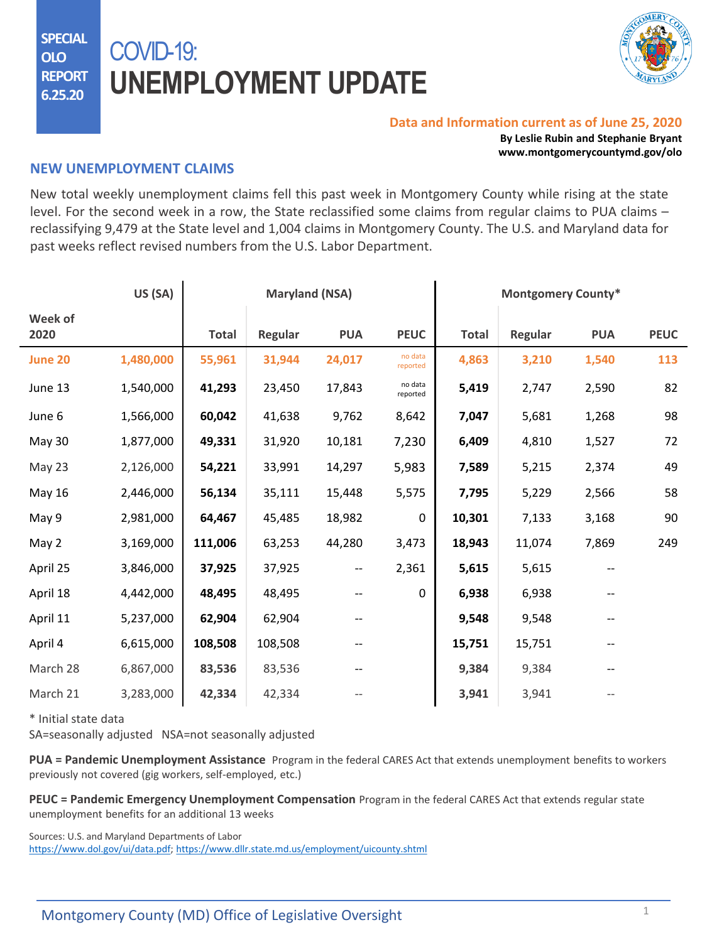**SPECIAL OLO REPORT 6.25.20**

## COVID-19: **UNEMPLOYMENT UPDATE**



## **Data and Information current as of June 25, 2020**

**By Leslie Rubin and Stephanie Bryant www.montgomerycountymd.gov/olo**

## **NEW UNEMPLOYMENT CLAIMS**

New total weekly unemployment claims fell this past week in Montgomery County while rising at the state level. For the second week in a row, the State reclassified some claims from regular claims to PUA claims – reclassifying 9,479 at the State level and 1,004 claims in Montgomery County. The U.S. and Maryland data for past weeks reflect revised numbers from the U.S. Labor Department.

|                 | US (SA)   | <b>Maryland (NSA)</b> |         |                          | <b>Montgomery County*</b> |              |         |            |             |
|-----------------|-----------|-----------------------|---------|--------------------------|---------------------------|--------------|---------|------------|-------------|
| Week of<br>2020 |           | <b>Total</b>          | Regular | <b>PUA</b>               | <b>PEUC</b>               | <b>Total</b> | Regular | <b>PUA</b> | <b>PEUC</b> |
| June 20         | 1,480,000 | 55,961                | 31,944  | 24,017                   | no data<br>reported       | 4,863        | 3,210   | 1,540      | 113         |
| June 13         | 1,540,000 | 41,293                | 23,450  | 17,843                   | no data<br>reported       | 5,419        | 2,747   | 2,590      | 82          |
| June 6          | 1,566,000 | 60,042                | 41,638  | 9,762                    | 8,642                     | 7,047        | 5,681   | 1,268      | 98          |
| May 30          | 1,877,000 | 49,331                | 31,920  | 10,181                   | 7,230                     | 6,409        | 4,810   | 1,527      | 72          |
| May 23          | 2,126,000 | 54,221                | 33,991  | 14,297                   | 5,983                     | 7,589        | 5,215   | 2,374      | 49          |
| May 16          | 2,446,000 | 56,134                | 35,111  | 15,448                   | 5,575                     | 7,795        | 5,229   | 2,566      | 58          |
| May 9           | 2,981,000 | 64,467                | 45,485  | 18,982                   | $\mathbf 0$               | 10,301       | 7,133   | 3,168      | 90          |
| May 2           | 3,169,000 | 111,006               | 63,253  | 44,280                   | 3,473                     | 18,943       | 11,074  | 7,869      | 249         |
| April 25        | 3,846,000 | 37,925                | 37,925  | $\overline{\phantom{a}}$ | 2,361                     | 5,615        | 5,615   | --         |             |
| April 18        | 4,442,000 | 48,495                | 48,495  | --                       | 0                         | 6,938        | 6,938   | --         |             |
| April 11        | 5,237,000 | 62,904                | 62,904  |                          |                           | 9,548        | 9,548   |            |             |
| April 4         | 6,615,000 | 108,508               | 108,508 |                          |                           | 15,751       | 15,751  |            |             |
| March 28        | 6,867,000 | 83,536                | 83,536  |                          |                           | 9,384        | 9,384   |            |             |
| March 21        | 3,283,000 | 42,334                | 42,334  |                          |                           | 3,941        | 3,941   |            |             |

\* Initial state data

SA=seasonally adjusted NSA=not seasonally adjusted

**PUA = Pandemic Unemployment Assistance** Program in the federal CARES Act that extends unemployment benefits to workers previously not covered (gig workers, self-employed, etc.)

**PEUC = Pandemic Emergency Unemployment Compensation** Program in the federal CARES Act that extends regular state unemployment benefits for an additional 13 weeks

Sources: U.S. and Maryland Departments of Labor

<https://www.dol.gov/ui/data.pdf>; <https://www.dllr.state.md.us/employment/uicounty.shtml>